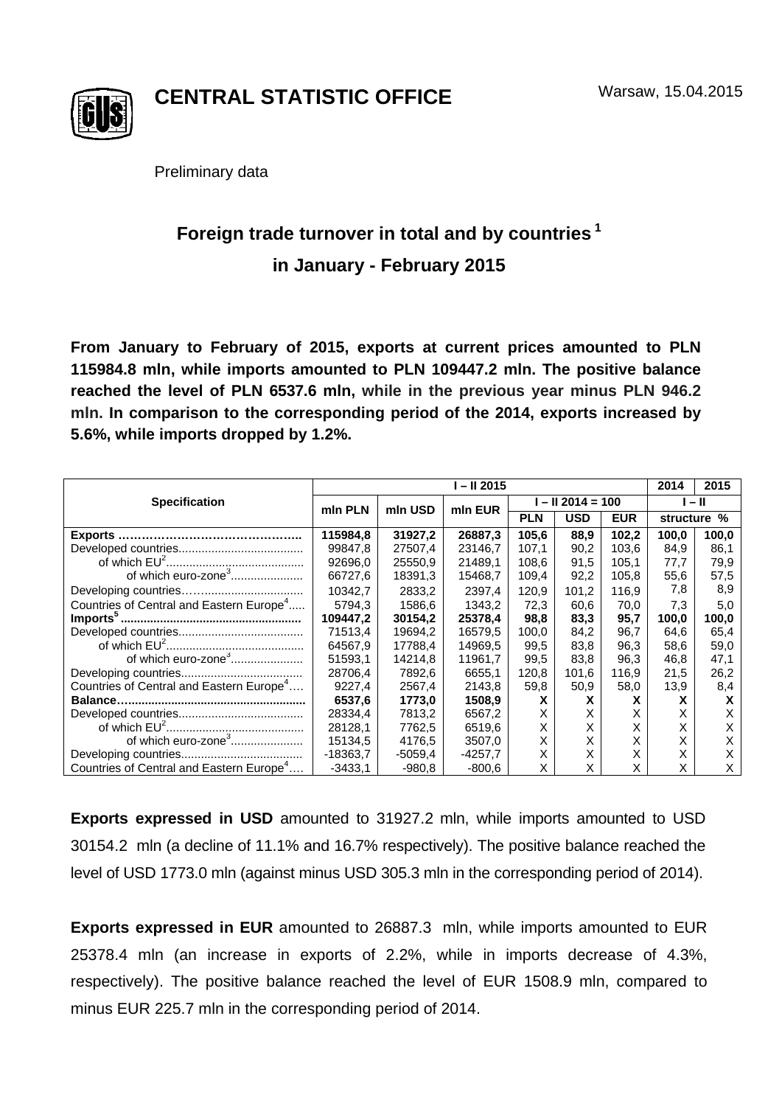

**CENTRAL STATISTIC OFFICE**

Preliminary data

## **Foreign trade turnover in total and by countries <sup>1</sup> in January - February 2015**

**From January to February of 2015, exports at current prices amounted to PLN 115984.8 mln, while imports amounted to PLN 109447.2 mln. The positive balance reached the level of PLN 6537.6 mln, while in the previous year minus PLN 946.2 mln. In comparison to the corresponding period of the 2014, exports increased by 5.6%, while imports dropped by 1.2%.**

|                                                      | $-$ II 2015 |          |           |                   |            |            |             | 2015  |
|------------------------------------------------------|-------------|----------|-----------|-------------------|------------|------------|-------------|-------|
| <b>Specification</b>                                 | min PLN     | mln USD  | min EUR   | l – II 2014 = 100 |            |            | $-$ II      |       |
|                                                      |             |          |           | <b>PLN</b>        | <b>USD</b> | <b>EUR</b> | structure % |       |
|                                                      | 115984,8    | 31927.2  | 26887.3   | 105,6             | 88,9       | 102,2      | 100,0       | 100,0 |
|                                                      | 99847,8     | 27507,4  | 23146,7   | 107.1             | 90,2       | 103.6      | 84,9        | 86,1  |
|                                                      | 92696,0     | 25550,9  | 21489,1   | 108,6             | 91,5       | 105,1      | 77,7        | 79,9  |
| of which euro-zone <sup>3</sup>                      | 66727,6     | 18391,3  | 15468,7   | 109,4             | 92,2       | 105,8      | 55,6        | 57,5  |
|                                                      | 10342.7     | 2833.2   | 2397.4    | 120.9             | 101.2      | 116.9      | 7,8         | 8,9   |
| Countries of Central and Eastern Europe <sup>4</sup> | 5794.3      | 1586.6   | 1343.2    | 72.3              | 60.6       | 70,0       | 7,3         | 5,0   |
|                                                      | 109447,2    | 30154.2  | 25378.4   | 98,8              | 83,3       | 95,7       | 100,0       | 100,0 |
|                                                      | 71513.4     | 19694.2  | 16579.5   | 100.0             | 84.2       | 96,7       | 64,6        | 65,4  |
|                                                      | 64567,9     | 17788.4  | 14969,5   | 99.5              | 83.8       | 96,3       | 58,6        | 59,0  |
| of which euro-zone <sup>3</sup>                      | 51593.1     | 14214.8  | 11961.7   | 99,5              | 83,8       | 96,3       | 46,8        | 47,1  |
|                                                      | 28706,4     | 7892,6   | 6655,1    | 120,8             | 101,6      | 116,9      | 21,5        | 26,2  |
| Countries of Central and Eastern Europe <sup>4</sup> | 9227.4      | 2567,4   | 2143,8    | 59,8              | 50,9       | 58,0       | 13.9        | 8,4   |
|                                                      | 6537,6      | 1773.0   | 1508,9    | X.                | X          | x          | x           | x     |
|                                                      | 28334,4     | 7813,2   | 6567,2    | X                 | X          | X          | X           | X     |
|                                                      | 28128.1     | 7762.5   | 6519.6    | X                 | X          | x          | x           | x     |
| of which euro-zone <sup>3</sup>                      | 15134.5     | 4176.5   | 3507.0    | X                 | X          | X          | X           | X     |
|                                                      | $-18363.7$  | -5059.4  | $-4257.7$ | X                 | X          | X          | X           | X     |
| Countries of Central and Eastern Europe <sup>4</sup> | $-3433.1$   | $-980.8$ | -800.6    | X                 | X          | X          | X           | X     |

**Exports expressed in USD** amounted to 31927.2 mln, while imports amounted to USD 30154.2 mln (a decline of 11.1% and 16.7% respectively). The positive balance reached the level of USD 1773.0 mln (against minus USD 305.3 mln in the corresponding period of 2014).

**Exports expressed in EUR** amounted to 26887.3 mln, while imports amounted to EUR 25378.4 mln (an increase in exports of 2.2%, while in imports decrease of 4.3%, respectively). The positive balance reached the level of EUR 1508.9 mln, compared to minus EUR 225.7 mln in the corresponding period of 2014.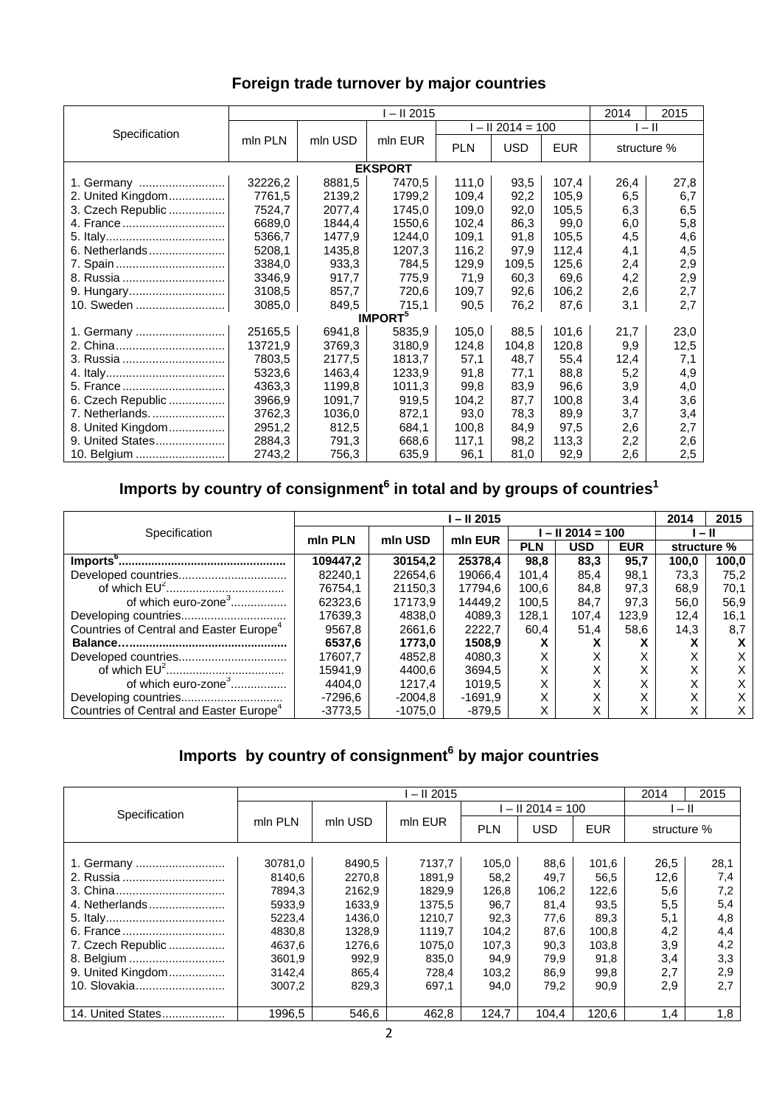## **Foreign trade turnover by major countries**

|                   | I – II 2015 |         |                            |                   |            |            |             | 2015 |  |  |
|-------------------|-------------|---------|----------------------------|-------------------|------------|------------|-------------|------|--|--|
| Specification     |             | mln USD | mln EUR                    | $-$ II 2014 = 100 |            |            | $I - II$    |      |  |  |
|                   | mln PLN     |         |                            | <b>PLN</b>        | <b>USD</b> | <b>EUR</b> | structure % |      |  |  |
| <b>EKSPORT</b>    |             |         |                            |                   |            |            |             |      |  |  |
| 1. Germany        | 32226,2     | 8881,5  | 7470,5                     | 111,0             | 93,5       | 107,4      | 26,4        | 27,8 |  |  |
| 2. United Kingdom | 7761,5      | 2139,2  | 1799,2                     | 109,4             | 92,2       | 105,9      | 6,5         | 6,7  |  |  |
| 3. Czech Republic | 7524,7      | 2077,4  | 1745,0                     | 109,0             | 92,0       | 105,5      | 6,3         | 6,5  |  |  |
| 4. France         | 6689.0      | 1844.4  | 1550,6                     | 102,4             | 86.3       | 99,0       | 6,0         | 5,8  |  |  |
|                   | 5366,7      | 1477,9  | 1244,0                     | 109,1             | 91,8       | 105,5      | 4,5         | 4,6  |  |  |
| 6. Netherlands    | 5208,1      | 1435,8  | 1207,3                     | 116,2             | 97,9       | 112,4      | 4,1         | 4,5  |  |  |
| 7. Spain          | 3384,0      | 933,3   | 784,5                      | 129,9             | 109.5      | 125,6      | 2,4         | 2,9  |  |  |
| 8. Russia         | 3346,9      | 917,7   | 775,9                      | 71,9              | 60,3       | 69,6       | 4,2         | 2,9  |  |  |
| 9. Hungary        | 3108,5      | 857,7   | 720.6                      | 109,7             | 92,6       | 106,2      | 2,6         | 2,7  |  |  |
| 10. Sweden        | 3085,0      | 849,5   | 715,1                      | 90,5              | 76,2       | 87,6       | 3,1         | 2,7  |  |  |
|                   |             |         | <b>IMPORT</b> <sup>5</sup> |                   |            |            |             |      |  |  |
| 1. Germany        | 25165,5     | 6941,8  | 5835.9                     | 105,0             | 88,5       | 101.6      | 21,7        | 23,0 |  |  |
|                   | 13721,9     | 3769,3  | 3180,9                     | 124,8             | 104.8      | 120,8      | 9,9         | 12,5 |  |  |
| 3. Russia         | 7803.5      | 2177,5  | 1813,7                     | 57,1              | 48,7       | 55,4       | 12,4        | 7,1  |  |  |
|                   | 5323,6      | 1463,4  | 1233,9                     | 91,8              | 77,1       | 88,8       | 5,2         | 4,9  |  |  |
| 5. France         | 4363,3      | 1199,8  | 1011,3                     | 99,8              | 83,9       | 96,6       | 3,9         | 4,0  |  |  |
| 6. Czech Republic | 3966,9      | 1091,7  | 919,5                      | 104,2             | 87,7       | 100,8      | 3,4         | 3,6  |  |  |
| 7. Netherlands    | 3762,3      | 1036,0  | 872,1                      | 93,0              | 78,3       | 89,9       | 3,7         | 3,4  |  |  |
| 8. United Kingdom | 2951,2      | 812,5   | 684,1                      | 100,8             | 84,9       | 97,5       | 2,6         | 2,7  |  |  |
| 9. United States  | 2884,3      | 791,3   | 668,6                      | 117,1             | 98,2       | 113,3      | 2,2         | 2,6  |  |  |
|                   | 2743,2      | 756,3   | 635,9                      | 96,1              | 81,0       | 92,9       | 2,6         | 2,5  |  |  |

## Imports by country of consignment<sup>6</sup> in total and by groups of countries<sup>1</sup>

|                                                     | l – II 2015 |         |           |                   |            |              |             | 2015  |
|-----------------------------------------------------|-------------|---------|-----------|-------------------|------------|--------------|-------------|-------|
| Specification                                       | min PLN     | mln USD | mln EUR   | $-$ II 2014 = 100 |            |              | $-11$       |       |
|                                                     |             |         |           | <b>PLN</b>        | <b>USD</b> | <b>EUR</b>   | structure % |       |
|                                                     | 109447.2    | 30154.2 | 25378.4   | 98.8              | 83.3       | 95.7         | 100.0       | 100.0 |
|                                                     | 82240.1     | 22654,6 | 19066.4   | 101.4             | 85.4       | 98.1         | 73.3        | 75.2  |
|                                                     | 76754.1     | 21150.3 | 17794.6   | 100.6             | 84.8       | 97.3         | 68.9        | 70.1  |
| of which euro-zone <sup>3</sup>                     | 62323,6     | 17173.9 | 14449.2   | 100.5             | 84.7       | 97.3         | 56,0        | 56,9  |
|                                                     | 17639.3     | 4838.0  | 4089.3    | 128.1             | 107.4      | 123,9        | 12,4        | 16,1  |
| Countries of Central and Easter Europe <sup>4</sup> | 9567.8      | 2661.6  | 2222.7    | 60.4              | 51.4       | 58,6         | 14,3        | 8.7   |
|                                                     | 6537.6      | 1773.0  | 1508.9    | Λ                 |            | $\mathbf{v}$ | x           |       |
|                                                     | 17607.7     | 4852.8  | 4080.3    | Χ                 |            |              | Χ           |       |
|                                                     | 15941.9     | 4400.6  | 3694.5    | Χ                 |            |              | X           |       |
| of which euro-zone <sup>3</sup>                     | 4404.0      | 1217.4  | 1019.5    | Χ                 |            |              | X           |       |
|                                                     | -7296.6     | -2004.8 | $-1691.9$ | Χ                 |            |              | X           |       |
| Countries of Central and Easter Europe <sup>4</sup> | -3773.5     | -1075.0 | -879.5    | x                 |            |              | X           |       |

## **Imports by country of consignment<sup>6</sup> by major countries**

|                   | I – II 2015 |         |         |            |                   |            |             | 2015 |
|-------------------|-------------|---------|---------|------------|-------------------|------------|-------------|------|
| Specification     | mln PLN     | mln USD |         |            | $-$ II 2014 = 100 | $-$ II     |             |      |
|                   |             |         | mln EUR | <b>PLN</b> | <b>USD</b>        | <b>EUR</b> | structure % |      |
|                   |             |         |         |            |                   |            |             |      |
| 1. Germany        | 30781.0     | 8490.5  | 7137.7  | 105.0      | 88.6              | 101,6      | 26,5        | 28,1 |
| 2. Russia         | 8140.6      | 2270.8  | 1891.9  | 58,2       | 49,7              | 56,5       | 12,6        | 7,4  |
|                   | 7894.3      | 2162.9  | 1829.9  | 126,8      | 106.2             | 122,6      | 5,6         | 7,2  |
| 4. Netherlands    | 5933.9      | 1633.9  | 1375,5  | 96,7       | 81,4              | 93,5       | 5,5         | 5,4  |
|                   | 5223,4      | 1436.0  | 1210.7  | 92,3       | 77,6              | 89,3       | 5,1         | 4,8  |
|                   | 4830,8      | 1328.9  | 1119.7  | 104.2      | 87,6              | 100,8      | 4,2         | 4,4  |
| 7. Czech Republic | 4637,6      | 1276.6  | 1075,0  | 107,3      | 90,3              | 103,8      | 3,9         | 4,2  |
| 8. Belgium        | 3601,9      | 992,9   | 835,0   | 94,9       | 79,9              | 91,8       | 3,4         | 3,3  |
| 9. United Kingdom | 3142,4      | 865,4   | 728,4   | 103,2      | 86,9              | 99,8       | 2,7         | 2,9  |
| 10. Slovakia      | 3007.2      | 829.3   | 697.1   | 94.0       | 79.2              | 90.9       | 2,9         | 2,7  |
|                   |             |         |         |            |                   |            |             |      |
| 14. United States | 1996,5      | 546,6   | 462.8   | 124,7      | 104.4             | 120,6      | 1,4         | 1,8  |